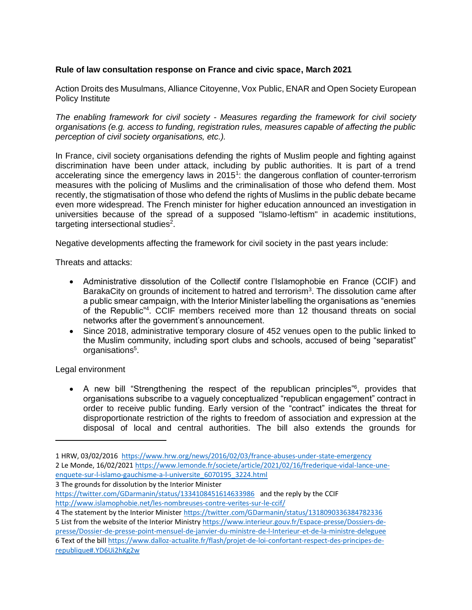## **Rule of law consultation response on France and civic space, March 2021**

Action Droits des Musulmans, Alliance Citoyenne, Vox Public, ENAR and Open Society European Policy Institute

*The enabling framework for civil society - Measures regarding the framework for civil society organisations (e.g. access to funding, registration rules, measures capable of affecting the public perception of civil society organisations, etc.).*

In France, civil society organisations defending the rights of Muslim people and fighting against discrimination have been under attack, including by public authorities. It is part of a trend accelerating since the emergency laws in  $2015<sup>1</sup>$ : the dangerous conflation of counter-terrorism measures with the policing of Muslims and the criminalisation of those who defend them. Most recently, the stigmatisation of those who defend the rights of Muslims in the public debate became even more widespread. The French minister for higher education announced an investigation in universities because of the spread of a supposed "Islamo-leftism" in academic institutions, targeting intersectional studies<sup>2</sup>.

Negative developments affecting the framework for civil society in the past years include:

Threats and attacks:

- Administrative dissolution of the Collectif contre l'Islamophobie en France (CCIF) and BarakaCity on grounds of incitement to hatred and terrorism<sup>3</sup>. The dissolution came after a public smear campaign, with the Interior Minister labelling the organisations as "enemies of the Republic"<sup>4</sup> . CCIF members received more than 12 thousand threats on social networks after the government's announcement.
- Since 2018, administrative temporary closure of 452 venues open to the public linked to the Muslim community, including sport clubs and schools, accused of being "separatist" organisations<sup>5</sup>.

Legal environment

 $\overline{\phantom{a}}$ 

• A new bill "Strengthening the respect of the republican principles"<sup>6</sup>, provides that organisations subscribe to a vaguely conceptualized "republican engagement" contract in order to receive public funding. Early version of the "contract" indicates the threat for disproportionate restriction of the rights to freedom of association and expression at the disposal of local and central authorities. The bill also extends the grounds for

3 The grounds for dissolution by the Interior Minister

<sup>1</sup> HRW, 03/02/2016<https://www.hrw.org/news/2016/02/03/france-abuses-under-state-emergency> 2 Le Monde, 16/02/202[1 https://www.lemonde.fr/societe/article/2021/02/16/frederique-vidal-lance-une](https://www.lemonde.fr/societe/article/2021/02/16/frederique-vidal-lance-une-enquete-sur-l-islamo-gauchisme-a-l-universite_6070195_3224.html)[enquete-sur-l-islamo-gauchisme-a-l-universite\\_6070195\\_3224.html](https://www.lemonde.fr/societe/article/2021/02/16/frederique-vidal-lance-une-enquete-sur-l-islamo-gauchisme-a-l-universite_6070195_3224.html)

<https://twitter.com/GDarmanin/status/1334108451614633986>and the reply by the CCIF <http://www.islamophobie.net/les-nombreuses-contre-verites-sur-le-ccif/>

<sup>4</sup> The statement by the Interior Minister<https://twitter.com/GDarmanin/status/1318090336384782336> 5 List from the website of the Interior Ministr[y https://www.interieur.gouv.fr/Espace-presse/Dossiers-de](https://www.interieur.gouv.fr/Espace-presse/Dossiers-de-presse/Dossier-de-presse-point-mensuel-de-janvier-du-ministre-de-l-Interieur-et-de-la-ministre-deleguee)[presse/Dossier-de-presse-point-mensuel-de-janvier-du-ministre-de-l-Interieur-et-de-la-ministre-deleguee](https://www.interieur.gouv.fr/Espace-presse/Dossiers-de-presse/Dossier-de-presse-point-mensuel-de-janvier-du-ministre-de-l-Interieur-et-de-la-ministre-deleguee) 6 Text of the bill [https://www.dalloz-actualite.fr/flash/projet-de-loi-confortant-respect-des-principes-de](https://www.dalloz-actualite.fr/flash/projet-de-loi-confortant-respect-des-principes-de-republique#.YD6Ui2hKg2w)[republique#.YD6Ui2hKg2w](https://www.dalloz-actualite.fr/flash/projet-de-loi-confortant-respect-des-principes-de-republique#.YD6Ui2hKg2w)